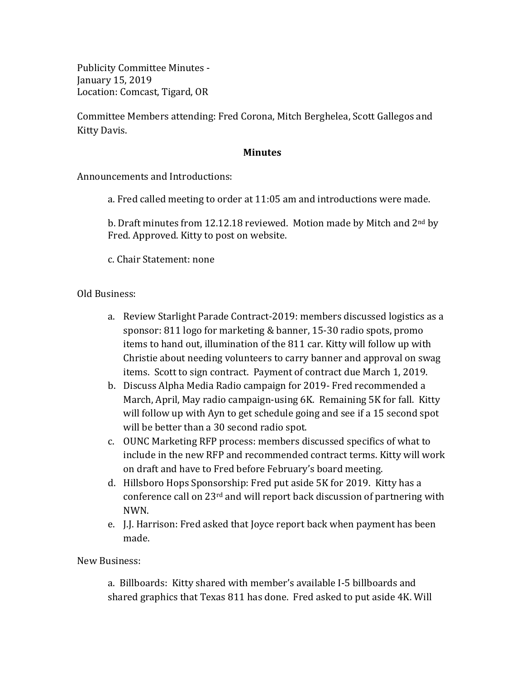Publicity Committee Minutes -January 15, 2019 Location: Comcast, Tigard, OR

Committee Members attending: Fred Corona, Mitch Berghelea, Scott Gallegos and Kitty Davis.

## **Minutes**

Announcements and Introductions:

a. Fred called meeting to order at 11:05 am and introductions were made.

b. Draft minutes from 12.12.18 reviewed. Motion made by Mitch and  $2^{nd}$  by Fred. Approved. Kitty to post on website.

c. Chair Statement: none

Old Business:

- a. Review Starlight Parade Contract-2019: members discussed logistics as a sponsor: 811 logo for marketing & banner, 15-30 radio spots, promo items to hand out, illumination of the 811 car. Kitty will follow up with Christie about needing volunteers to carry banner and approval on swag items. Scott to sign contract. Payment of contract due March 1, 2019.
- b. Discuss Alpha Media Radio campaign for 2019- Fred recommended a March, April, May radio campaign-using 6K. Remaining 5K for fall. Kitty will follow up with Ayn to get schedule going and see if a 15 second spot will be better than a 30 second radio spot.
- c. OUNC Marketing RFP process: members discussed specifics of what to include in the new RFP and recommended contract terms. Kitty will work on draft and have to Fred before February's board meeting.
- d. Hillsboro Hops Sponsorship: Fred put aside 5K for 2019. Kitty has a conference call on  $23<sup>rd</sup>$  and will report back discussion of partnering with NWN.
- e. I... Harrison: Fred asked that Joyce report back when payment has been made.

New Business:

a. Billboards: Kitty shared with member's available I-5 billboards and shared graphics that  $T$ exas  $811$  has done. Fred asked to put aside 4K. Will